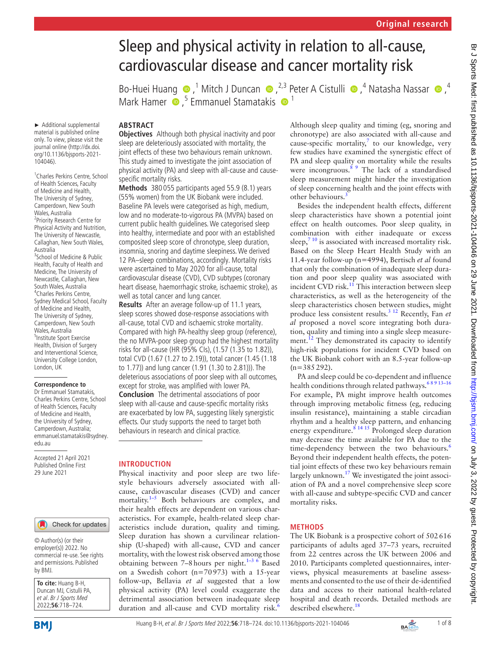# Sleep and physical activity in relation to all-cause, cardiovascular disease and cancer mortality risk

Bo-HueiHuang  $\bigcirc$ ,<sup>1</sup> Mitch J Duncan  $\bigcirc$ ,<sup>2,3</sup> Peter A Cistulli  $\bigcirc$ ,<sup>4</sup> Natasha Nassar  $\bigcirc$ ,<sup>4</sup> MarkHamer  $\bullet$ ,<sup>5</sup> Emmanuel Stamatakis  $\bullet$ <sup>1</sup>

# **ABSTRACT**

**Objectives** Although both physical inactivity and poor sleep are deleteriously associated with mortality, the joint effects of these two behaviours remain unknown. This study aimed to investigate the joint association of physical activity (PA) and sleep with all-cause and causespecific mortality risks.

**Methods** 380 055 participants aged 55.9 (8.1) years (55% women) from the UK Biobank were included. Baseline PA levels were categorised as high, medium, low and no moderate-to-vigorous PA (MVPA) based on current public health guidelines. We categorised sleep into healthy, intermediate and poor with an established composited sleep score of chronotype, sleep duration, insomnia, snoring and daytime sleepiness. We derived 12 PA–sleep combinations, accordingly. Mortality risks were ascertained to May 2020 for all-cause, total cardiovascular disease (CVD), CVD subtypes (coronary heart disease, haemorrhagic stroke, ischaemic stroke), as well as total cancer and lung cancer.

**Results** After an average follow-up of 11.1 years, sleep scores showed dose-response associations with all-cause, total CVD and ischaemic stroke mortality. Compared with high PA-healthy sleep group (reference), the no MVPA-poor sleep group had the highest mortality risks for all-cause (HR (95% CIs), (1.57 (1.35 to 1.82)), total CVD (1.67 (1.27 to 2.19)), total cancer (1.45 (1.18 to 1.77)) and lung cancer (1.91 (1.30 to 2.81))). The deleterious associations of poor sleep with all outcomes, except for stroke, was amplified with lower PA. **Conclusion** The detrimental associations of poor sleep with all-cause and cause-specific mortality risks are exacerbated by low PA, suggesting likely synergistic effects. Our study supports the need to target both behaviours in research and clinical practice.

# **INTRODUCTION**

Physical inactivity and poor sleep are two lifestyle behaviours adversely associated with allcause, cardiovascular diseases (CVD) and cancer mortality. $1-5$  Both behaviours are complex, and their health effects are dependent on various characteristics. For example, health-related sleep characteristics include duration, quality and timing. Sleep duration has shown a curvilinear relationship (U-shaped) with all-cause, CVD and cancer mortality, with the lowest risk observed among those obtaining between  $7-8$  hours per night.<sup>1-3 6</sup> Based on a Swedish cohort (n=70973) with a 15-year follow-up, Bellavia *et al* suggested that a low physical activity (PA) level could exaggerate the detrimental association between inadequate sleep duration and all-cause and CVD mortality risk.<sup>[6](#page-6-1)</sup>

Although sleep quality and timing (eg, snoring and chronotype) are also associated with all-cause and cause-specific mortality, $^7$  to our knowledge, very few studies have examined the synergistic effect of PA and sleep quality on mortality while the results were incongruous.<sup>8 9</sup> The lack of a standardised sleep measurement might hinder the investigation of sleep concerning health and the joint effects with other behaviours.<sup>[3](#page-6-4)</sup>

Besides the independent health effects, different sleep characteristics have shown a potential joint effect on health outcomes. Poor sleep quality, in combination with either inadequate or excess sleep, $7^{10}$  is associated with increased mortality risk. Based on the Sleep Heart Health Study with an 11.4-year follow-up (n=4994), Bertisch *et al* found that only the combination of inadequate sleep duration and poor sleep quality was associated with incident  $\dot{\text{CVD}}$  risk.<sup>[11](#page-6-5)</sup> This interaction between sleep characteristics, as well as the heterogeneity of the sleep characteristics chosen between studies, might produce less consistent results.[3 12](#page-6-4) Recently, Fan *et al* proposed a novel score integrating both duration, quality and timing into a single sleep measure-ment.<sup>[12](#page-6-6)</sup> They demonstrated its capacity to identify high-risk populations for incident CVD based on the UK Biobank cohort with an 8.5-year follow-up  $(n=385292)$ .

PA and sleep could be co-dependent and influence health conditions through related pathways.<sup>68 9 13-16</sup> For example, PA might improve health outcomes through improving metabolic fitness (eg, reducing insulin resistance), maintaining a stable circadian rhythm and a healthy sleep pattern, and enhancing energy expenditure.<sup>8 14 15</sup> Prolonged sleep duration may decrease the time available for PA due to the time-dependency between the two behaviours.<sup>[6](#page-6-1)</sup> Beyond their independent health effects, the potential joint effects of these two key behaviours remain largely unknown. $17$  We investigated the joint association of PA and a novel comprehensive sleep score with all-cause and subtype-specific CVD and cancer mortality risks.

# **METHODS**

The UK Biobank is a prospective cohort of 502616 participants of adults aged 37–73 years, recruited from 22 centres across the UK between 2006 and 2010. Participants completed questionnaires, interviews, physical measurements at baseline assessments and consented to the use of their de-identified data and access to their national health-related hospital and death records. Detailed methods are described elsewhere.<sup>[18](#page-6-8)</sup>

► Additional supplemental material is published online only. To view, please visit the journal online ([http://dx.doi.](http://dx.doi.org/10.1136/bjsports-2021-104046) [org/10.1136/bjsports-2021-](http://dx.doi.org/10.1136/bjsports-2021-104046) [104046](http://dx.doi.org/10.1136/bjsports-2021-104046)).

1 Charles Perkins Centre, School of Health Sciences, Faculty of Medicine and Health, The University of Sydney, Camperdown, New South Wales, Australia <sup>2</sup> Priority Research Centre for Physical Activity and Nutrition, The University of Newcastle, Callaghan, New South Wales, Australia <sup>3</sup> School of Medicine & Public

Health, Faculty of Health and Medicine, The University of Newcastle, Callaghan, New South Wales, Australia 4 Charles Perkins Centre, Sydney Medical School, Faculty of Medicine and Health, The University of Sydney, Camperdown, New South Wales, Australia 5 Institute Sport Exercise Health, Division of Surgery and Interventional Science, University College London, London, UK

### **Correspondence to**

Dr Emmanuel Stamatakis, Charles Perkins Centre, School of Health Sciences, Faculty of Medicine and Health, the University of Sydney, Camperdown, Australia; emmanuel.stamatakis@sydney. edu.au

Accepted 21 April 2021 Published Online First 29 June 2021

#### Check for updates

© Author(s) (or their employer(s)) 2022. No commercial re-use. See rights and permissions. Published by BMJ.

| To cite: Huang B-H,     |
|-------------------------|
| Duncan MJ, Cistulli PA, |
| et al. Br J Sports Med  |
| 2022;56:718-724.        |

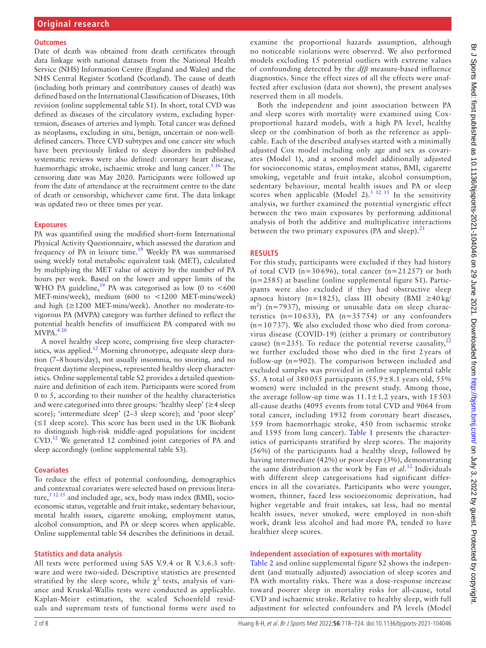#### **Outcomes**

Date of death was obtained from death certificates through data linkage with national datasets from the National Health Service (NHS) Information Centre (England and Wales) and the NHS Central Register Scotland (Scotland). The cause of death (including both primary and contributory causes of death) was defined based on the International Classification of Diseases, 10th revision ([online supplemental table S1\)](https://dx.doi.org/10.1136/bjsports-2021-104046). In short, total CVD was defined as diseases of the circulatory system, excluding hypertension, diseases of arteries and lymph. Total cancer was defined as neoplasms, excluding in situ, benign, uncertain or non-welldefined cancers. Three CVD subtypes and one cancer site which have been previously linked to sleep disorders in published systematic reviews were also defined: coronary heart disease, haemorrhagic stroke, ischaemic stroke and lung cancer.<sup>[5 16](#page-6-9)</sup> The censoring date was May 2020. Participants were followed up from the date of attendance at the recruitment centre to the date of death or censorship, whichever came first. The data linkage was updated two or three times per year.

#### **Exposures**

PA was quantified using the modified short-form International Physical Activity Questionnaire, which assessed the duration and frequency of PA in leisure time.[19](#page-6-10) Weekly PA was summarised using weekly total metabolic equivalent task (MET), calculated by multiplying the MET value of activity by the number of PA hours per week. Based on the lower and upper limits of the WHO PA guideline,<sup>19</sup> PA was categorised as low (0 to  $<600$ MET-mins/week), medium (600 to <1200 MET-mins/week) and high (≥1200 MET-mins/week). Another no moderate-tovigorous PA (MVPA) category was further defined to reflect the potential health benefits of insufficient PA compared with no  $MVPA.<sup>420</sup>$ 

A novel healthy sleep score, comprising five sleep character-istics, was applied.<sup>[12](#page-6-6)</sup> Morning chronotype, adequate sleep duration (7–8hours/day), not usually insomnia, no snoring, and no frequent daytime sleepiness, represented healthy sleep characteristics. [Online supplemental table S2](https://dx.doi.org/10.1136/bjsports-2021-104046) provides a detailed questionnaire and definition of each item. Participants were scored from 0 to 5, according to their number of the healthy characteristics and were categorised into three groups: 'healthy sleep' (≥4 sleep score); 'intermediate sleep' (2-3 sleep score); and 'poor sleep' (≤1 sleep score). This score has been used in the UK Biobank to distinguish high-risk middle-aged populations for incident CVD[.12](#page-6-6) We generated 12 combined joint categories of PA and sleep accordingly ([online supplemental table S3\)](https://dx.doi.org/10.1136/bjsports-2021-104046).

### **Covariates**

To reduce the effect of potential confounding, demographics and contextual covariates were selected based on previous literature, $3^{12}$  15 and included age, sex, body mass index (BMI), socioeconomic status, vegetable and fruit intake, sedentary behaviour, mental health issues, cigarette smoking, employment status, alcohol consumption, and PA or sleep scores when applicable. [Online supplemental table S4](https://dx.doi.org/10.1136/bjsports-2021-104046) describes the definitions in detail.

### **Statistics and data analysis**

All tests were performed using SAS V.9.4 or R V.3.6.3 software and were two-sided. Descriptive statistics are presented stratified by the sleep score, while  $\chi^2$  tests, analysis of variance and Kruskal-Wallis tests were conducted as applicable. Kaplan-Meier estimation, the scaled Schoenfeld residuals and supremum tests of functional forms were used to

examine the proportional hazards assumption, although no noticeable violations were observed. We also performed models excluding 15 potential outliers with extreme values of confounding detected by the *dfβ* measure-based influence diagnostics. Since the effect sizes of all the effects were unaffected after exclusion (data not shown), the present analyses reserved them in all models.

Both the independent and joint association between PA and sleep scores with mortality were examined using Coxproportional hazard models, with a high PA level, healthy sleep or the combination of both as the reference as applicable. Each of the described analyses started with a minimally adjusted Cox model including only age and sex as covariates (Model 1), and a second model additionally adjusted for socioeconomic status, employment status, BMI, cigarette smoking, vegetable and fruit intake, alcohol consumption, sedentary behaviour, mental health issues and PA or sleep scores when applicable (Model 2).<sup>3 12 15</sup> In the sensitivity analysis, we further examined the potential synergistic effect between the two main exposures by performing additional analysis of both the additive and multiplicative interactions between the two primary exposures (PA and sleep). $21$ 

## **RESULTS**

For this study, participants were excluded if they had history of total CVD ( $n=30696$ ), total cancer ( $n=21257$ ) or both (n=2585) at baseline ([online supplemental figure S1\)](https://dx.doi.org/10.1136/bjsports-2021-104046). Participants were also excluded if they had obstructive sleep apnoea history (n=1825), class III obesity (BMI ≥40 kg/  $m<sup>2</sup>$ ) (n=7937), missing or unusable data on sleep characteristics  $(n=10633)$ , PA  $(n=35754)$  or any confounders  $(n=10737)$ . We also excluded those who died from coronavirus disease (COVID-19) (either a primary or contributory cause) (n=235). To reduce the potential reverse causality,  $^{22}$  $^{22}$  $^{22}$ we further excluded those who died in the first 2 years of follow-up (n=902). The comparison between included and excluded samples was provided in [online supplemental table](https://dx.doi.org/10.1136/bjsports-2021-104046) [S5.](https://dx.doi.org/10.1136/bjsports-2021-104046) A total of  $380055$  participants  $(55.9 \pm 8.1)$  years old,  $55\%$ women) were included in the present study. Among those, the average follow-up time was  $11.1 \pm 1.2$  years, with 15 503 all-cause deaths (4095 events from total CVD and 9064 from total cancer, including 1932 from coronary heart diseases, 359 from haemorrhagic stroke, 450 from ischaemic stroke and 1595 from lung cancer). [Table](#page-2-0) 1 presents the characteristics of participants stratified by sleep scores. The majority (56%) of the participants had a healthy sleep, followed by having intermediate (42%) or poor sleep (3%), demonstrating the same distribution as the work by Fan *et al*. [12](#page-6-6) Individuals with different sleep categorisations had significant differences in all the covariates. Participants who were younger, women, thinner, faced less socioeconomic deprivation, had higher vegetable and fruit intakes, sat less, had no mental health issues, never smoked, were employed in non-shift work, drank less alcohol and had more PA, tended to have healthier sleep scores.

## **Independent association of exposures with mortality**

[Table](#page-4-0) 2 and [online supplemental figure S2](https://dx.doi.org/10.1136/bjsports-2021-104046) shows the independent (and mutually adjusted) association of sleep scores and PA with mortality risks. There was a dose-response increase toward poorer sleep in mortality risks for all-cause, total CVD and ischaemic stroke. Relative to healthy sleep, with full adjustment for selected confounders and PA levels (Model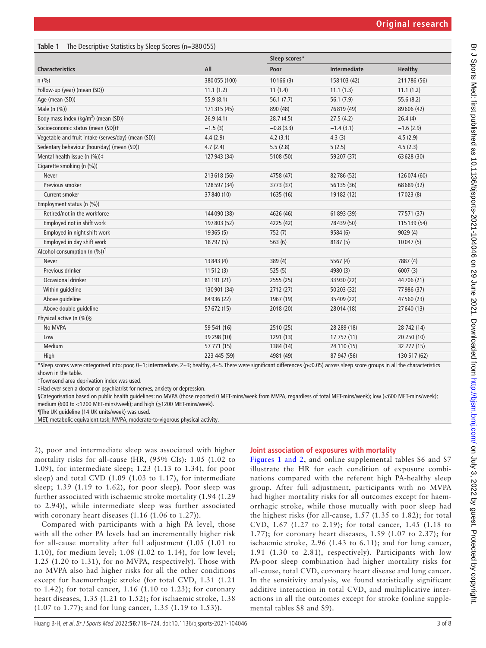# <span id="page-2-0"></span>**Table 1** The Descriptive Statistics by Sleep Scores (n=380 055)

|                                                     |              | Sleep scores* |              |                |
|-----------------------------------------------------|--------------|---------------|--------------|----------------|
| <b>Characteristics</b>                              | All          | Poor          | Intermediate | <b>Healthy</b> |
| n(%)                                                | 380055 (100) | 10166(3)      | 158 103 (42) | 211786 (56)    |
| Follow-up (year) (mean (SD))                        | 11.1(1.2)    | 11(1.4)       | 11.1(1.3)    | 11.1(1.2)      |
| Age (mean (SD))                                     | 55.9(8.1)    | 56.1(7.7)     | 56.1(7.9)    | 55.6 (8.2)     |
| Male (n (%))                                        | 171315 (45)  | 890 (48)      | 76819 (49)   | 89606 (42)     |
| Body mass index (kg/m <sup>2</sup> ) (mean (SD))    | 26.9(4.1)    | 28.7(4.5)     | 27.5(4.2)    | 26.4(4)        |
| Socioeconomic status (mean (SD))+                   | $-1.5(3)$    | $-0.8(3.3)$   | $-1.4(3.1)$  | $-1.6(2.9)$    |
| Vegetable and fruit intake (serves/day) (mean (SD)) | 4.4(2.9)     | 4.2(3.1)      | 4.3(3)       | 4.5(2.9)       |
| Sedentary behaviour (hour/day) (mean (SD))          | 4.7(2.4)     | 5.5(2.8)      | 5(2.5)       | 4.5(2.3)       |
| Mental health issue (n (%))#                        | 127943 (34)  | 5108 (50)     | 59207 (37)   | 63 628 (30)    |
| Cigarette smoking (n (%))                           |              |               |              |                |
| Never                                               | 213618 (56)  | 4758 (47)     | 82786 (52)   | 126074 (60)    |
| Previous smoker                                     | 128 597 (34) | 3773 (37)     | 56135 (36)   | 68689 (32)     |
| Current smoker                                      | 37 840 (10)  | 1635 (16)     | 19182 (12)   | 17023 (8)      |
| Employment status (n (%))                           |              |               |              |                |
| Retired/not in the workforce                        | 144 090 (38) | 4626 (46)     | 61 893 (39)  | 77571 (37)     |
| Employed not in shift work                          | 197 803 (52) | 4225 (42)     | 78439 (50)   | 115 139 (54)   |
| Employed in night shift work                        | 19365 (5)    | 752(7)        | 9584 (6)     | 9029(4)        |
| Employed in day shift work                          | 18797 (5)    | 563(6)        | 8187 (5)     | 10047(5)       |
| Alcohol consumption (n $(\%)$ ) <sup>1</sup>        |              |               |              |                |
| Never                                               | 13843 (4)    | 389(4)        | 5567 (4)     | 7887 (4)       |
| Previous drinker                                    | 11512(3)     | 525(5)        | 4980 (3)     | 6007(3)        |
| Occasional drinker                                  | 81 191 (21)  | 2555 (25)     | 33 930 (22)  | 44706 (21)     |
| Within guideline                                    | 130901 (34)  | 2712 (27)     | 50203 (32)   | 77986 (37)     |
| Above quideline                                     | 84936 (22)   | 1967 (19)     | 35409 (22)   | 47560 (23)     |
| Above double guideline                              | 57672 (15)   | 2018 (20)     | 28014 (18)   | 27640 (13)     |
| Physical active (n (%))§                            |              |               |              |                |
| No MVPA                                             | 59 541 (16)  | 2510 (25)     | 28 289 (18)  | 28 742 (14)    |
| Low                                                 | 39 298 (10)  | 1291 (13)     | 17 757 (11)  | 20 250 (10)    |
| Medium                                              | 57 771 (15)  | 1384 (14)     | 24 110 (15)  | 32 277 (15)    |
| High                                                | 223 445 (59) | 4981 (49)     | 87 947 (56)  | 130 517 (62)   |
|                                                     |              |               |              |                |

\*Sleep scores were categorised into: poor, 0~1; intermediate, 2~3; healthy, 4~5. There were significant differences (p<0.05) across sleep score groups in all the characteristics shown in the table.

†Townsend area deprivation index was used.

‡Had ever seen a doctor or psychiatrist for nerves, anxiety or depression.

§Categorisation based on public health guidelines: no MVPA (those reported 0 MET-mins/week from MVPA, regardless of total MET-mins/week); low (<600 MET-mins/week); medium (600 to <1200 MET-mins/week); and high (≥1200 MET-mins/week).

¶The UK guideline (14 UK units/week) was used.

MET, metabolic equivalent task; MVPA, moderate-to-vigorous physical activity.

2), poor and intermediate sleep was associated with higher mortality risks for all-cause (HR, (95% CIs): 1.05 (1.02 to 1.09), for intermediate sleep; 1.23 (1.13 to 1.34), for poor sleep) and total CVD (1.09 (1.03 to 1.17), for intermediate sleep; 1.39 (1.19 to 1.62), for poor sleep). Poor sleep was further associated with ischaemic stroke mortality (1.94 (1.29 to 2.94)), while intermediate sleep was further associated with coronary heart diseases (1.16 (1.06 to 1.27)).

Compared with participants with a high PA level, those with all the other PA levels had an incrementally higher risk for all-cause mortality after full adjustment (1.05 (1.01 to 1.10), for medium level; 1.08 (1.02 to 1.14), for low level; 1.25 (1.20 to 1.31), for no MVPA, respectively). Those with no MVPA also had higher risks for all the other conditions except for haemorrhagic stroke (for total CVD, 1.31 (1.21 to 1.42); for total cancer, 1.16 (1.10 to 1.23); for coronary heart diseases, 1.35 (1.21 to 1.52); for ischaemic stroke, 1.38 (1.07 to 1.77); and for lung cancer, 1.35 (1.19 to 1.53)).

# **Joint association of exposures with mortality**

Figures [1 and 2,](#page-3-0) and [online supplemental tables S6 and S7](https://dx.doi.org/10.1136/bjsports-2021-104046) illustrate the HR for each condition of exposure combinations compared with the referent high PA-healthy sleep group. After full adjustment, participants with no MVPA had higher mortality risks for all outcomes except for haemorrhagic stroke, while those mutually with poor sleep had the highest risks (for all-cause, 1.57 (1.35 to 1.82); for total CVD, 1.67 (1.27 to 2.19); for total cancer, 1.45 (1.18 to 1.77); for coronary heart diseases, 1.59 (1.07 to 2.37); for ischaemic stroke, 2.96 (1.43 to 6.11); and for lung cancer, 1.91 (1.30 to 2.81), respectively). Participants with low PA-poor sleep combination had higher mortality risks for all-cause, total CVD, coronary heart disease and lung cancer. In the sensitivity analysis, we found statistically significant additive interaction in total CVD, and multiplicative interactions in all the outcomes except for stroke [\(online supple](https://dx.doi.org/10.1136/bjsports-2021-104046)[mental tables S8 and S9\)](https://dx.doi.org/10.1136/bjsports-2021-104046).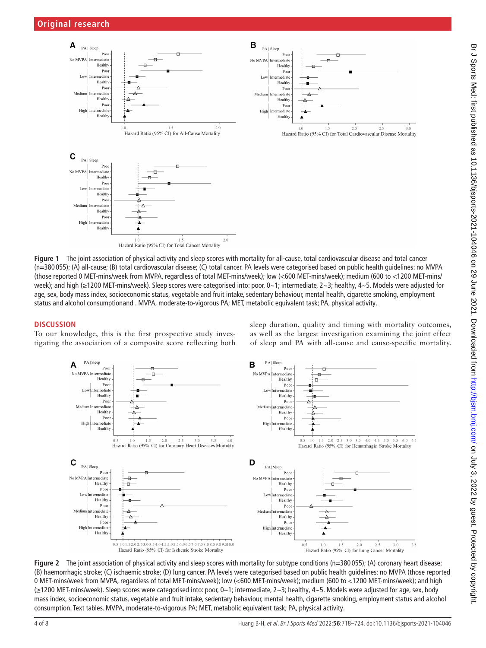

<span id="page-3-0"></span>**Figure 1** The joint association of physical activity and sleep scores with mortality for all-cause, total cardiovascular disease and total cancer (n=380 055); (A) all-cause; (B) total cardiovascular disease; (C) total cancer. PA levels were categorised based on public health guidelines: no MVPA (those reported 0 MET-mins/week from MVPA, regardless of total MET-mins/week); low (<600 MET-mins/week); medium (600 to <1200 MET-mins/ week); and high (≥1200 MET-mins/week). Sleep scores were categorised into: poor, 0~1; intermediate, 2~3; healthy, 4~5. Models were adjusted for age, sex, body mass index, socioeconomic status, vegetable and fruit intake, sedentary behaviour, mental health, cigarette smoking, employment status and alcohol consumptionand . MVPA, moderate-to-vigorous PA; MET, metabolic equivalent task; PA, physical activity.

# **DISCUSSION**

To our knowledge, this is the first prospective study investigating the association of a composite score reflecting both sleep duration, quality and timing with mortality outcomes, as well as the largest investigation examining the joint effect of sleep and PA with all-cause and cause-specific mortality.



**Figure 2** The joint association of physical activity and sleep scores with mortality for subtype conditions (n=380 055); (A) coronary heart disease; (B) haemorrhagic stroke; (C) ischaemic stroke; (D) lung cancer. PA levels were categorised based on public health guidelines: no MVPA (those reported 0 MET-mins/week from MVPA, regardless of total MET-mins/week); low (<600 MET-mins/week); medium (600 to <1200 MET-mins/week); and high (≥1200 MET-mins/week). Sleep scores were categorised into: poor, 0~1; intermediate, 2~3; healthy, 4~5. Models were adjusted for age, sex, body mass index, socioeconomic status, vegetable and fruit intake, sedentary behaviour, mental health, cigarette smoking, employment status and alcohol consumption. Text tables. MVPA, moderate-to-vigorous PA; MET, metabolic equivalent task; PA, physical activity.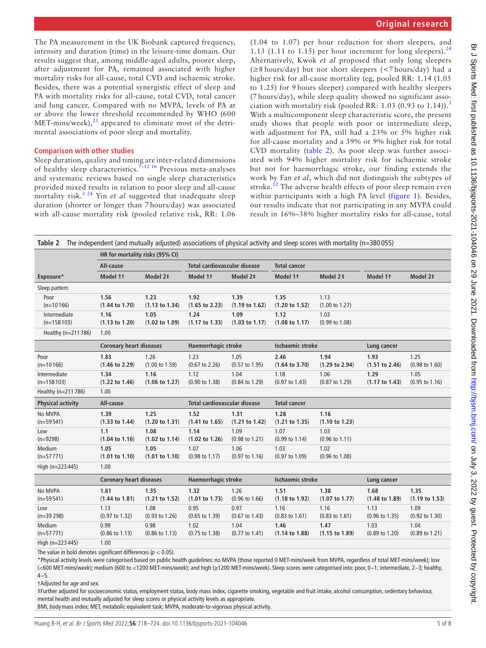The PA measurement in the UK Biobank captured frequency, intensity and duration (time) in the leisure-time domain. Our results suggest that, among middle-aged adults, poorer sleep, after adjustment for PA, remained associated with higher mortality risks for all-cause, total CVD and ischaemic stroke. Besides, there was a potential synergistic effect of sleep and PA with mortality risks for all-cause, total CVD, total cancer and lung cancer. Compared with no MVPA, levels of PA at or above the lower threshold recommended by WHO (600 MET-mins/week), $^{23}$  appeared to eliminate most of the detrimental associations of poor sleep and mortality.

# **Comparison with other studies**

Sleep duration, quality and timing are inter-related dimensions of healthy sleep characteristics.<sup>7-12 16</sup> Previous meta-analyses and systematic reviews based on single sleep characteristics provided mixed results in relation to poor sleep and all-cause mortality risk.[3 24](#page-6-4) Yin *et al* suggested that inadequate sleep duration (shorter or longer than 7 hours/day) was associated with all-cause mortality risk (pooled relative risk, RR: 1.06

(1.04 to 1.07) per hour reduction for short sleepers, and 1.13 (1.11 to 1.15) per hour increment for long sleepers).<sup>[24](#page-6-15)</sup> Alternatively, Kwok *et al* proposed that only long sleepers (≥8 hours/day) but not short sleepers (<7 hours/day) had a higher risk for all-cause mortality (eg*,* pooled RR: 1.14 (1.05 to 1.25) for 9 hours sleeper) compared with healthy sleepers (7 hours/day), while sleep quality showed no significant asso-ciation with mortality risk (pooled RR: 1.0[3](#page-6-4) (0.93 to 1.14)).<sup>3</sup> With a multicomponent sleep characteristic score, the present study shows that people with poor or intermediate sleep, with adjustment for PA, still had a 23% or 5% higher risk for all-cause mortality and a 39% or 9% higher risk for total CVD mortality ([table](#page-4-0) 2). As poor sleep was further associated with 94% higher mortality risk for ischaemic stroke but not for haemorrhagic stroke, our finding extends the work by Fan *et al*, which did not distinguish the subtypes of stroke.<sup>[12](#page-6-6)</sup> The adverse health effects of poor sleep remain even within participants with a high PA level ([figure](#page-3-0) 1). Besides, our results indicate that not participating in any MVPA could result in 16%–38% higher mortality risks for all-cause, total

<span id="page-4-0"></span>

| The independent (and mutually adjusted) associations of physical activity and sleep scores with mortality ( $n=380055$ )<br>Table 2 |                                |                           |                                     |                           |                           |                           |                           |                           |  |  |  |
|-------------------------------------------------------------------------------------------------------------------------------------|--------------------------------|---------------------------|-------------------------------------|---------------------------|---------------------------|---------------------------|---------------------------|---------------------------|--|--|--|
| HR for mortality risks (95% CI)                                                                                                     |                                |                           |                                     |                           |                           |                           |                           |                           |  |  |  |
|                                                                                                                                     | All-cause                      |                           | <b>Total cardiovascular disease</b> |                           | <b>Total cancer</b>       |                           |                           |                           |  |  |  |
| Exposure*                                                                                                                           | Model 1t                       | Model 2‡                  | Model 11                            | Model 2‡                  | Model 1t                  | Model 2 ‡                 | Model 11                  | Model 2‡                  |  |  |  |
| Sleep pattern                                                                                                                       |                                |                           |                                     |                           |                           |                           |                           |                           |  |  |  |
| Poor                                                                                                                                | 1.56                           | 1.23                      | 1.92                                | 1.39                      | 1.35                      | 1.13                      |                           |                           |  |  |  |
| $(n=10166)$                                                                                                                         | $(1.44 \text{ to } 1.70)$      | $(1.13 \text{ to } 1.34)$ | $(1.65 \text{ to } 2.23)$           | $(1.19 \text{ to } 1.62)$ | $(1.20 \text{ to } 1.52)$ | $(1.00 \text{ to } 1.27)$ |                           |                           |  |  |  |
| Intermediate                                                                                                                        | 1.16                           | 1.05                      | 1.24                                | 1.09                      | 1.12                      | 1.03                      |                           |                           |  |  |  |
| $(n=158103)$                                                                                                                        | $(1.13 \text{ to } 1.20)$      | $(1.02 \text{ to } 1.09)$ | $(1.17 \text{ to } 1.33)$           | $(1.03 \text{ to } 1.17)$ | $(1.08 \text{ to } 1.17)$ | (0.99 to 1.08)            |                           |                           |  |  |  |
| Healthy (n=211786)                                                                                                                  | 1.00                           |                           |                                     |                           |                           |                           |                           |                           |  |  |  |
|                                                                                                                                     | <b>Coronary heart diseases</b> |                           | <b>Haemorrhagic stroke</b>          |                           | <b>Ischaemic stroke</b>   |                           | Lung cancer               |                           |  |  |  |
| Poor                                                                                                                                | 1.83                           | 1.26                      | 1.23                                | 1.05                      | 2.46                      | 1.94                      | 1.93                      | 1.25                      |  |  |  |
| $(n=10166)$                                                                                                                         | $(1.46 \text{ to } 2.29)$      | $(1.00 \text{ to } 1.59)$ | $(0.67 \text{ to } 2.26)$           | $(0.57 \text{ to } 1.95)$ | $(1.64 \text{ to } 3.70)$ | $(1.29 \text{ to } 2.94)$ | (1.51 to 2.46)            | $(0.98 \text{ to } 1.60)$ |  |  |  |
| Intermediate                                                                                                                        | 1.34                           | 1.16                      | 1.12                                | 1.04                      | 1.18                      | 1.06                      | 1.29                      | 1.05                      |  |  |  |
| $(n=158103)$                                                                                                                        | $(1.22 \text{ to } 1.46)$      | $(1.06 \text{ to } 1.27)$ | $(0.90 \text{ to } 1.38)$           | $(0.84 \text{ to } 1.29)$ | $(0.97 \text{ to } 1.43)$ | $(0.87 \text{ to } 1.29)$ | $(1.17 \text{ to } 1.43)$ | (0.95 to 1.16)            |  |  |  |
| Healthy (n=211786)                                                                                                                  | 1.00                           |                           |                                     |                           |                           |                           |                           |                           |  |  |  |
| <b>Physical activity</b>                                                                                                            | All-cause                      |                           | <b>Total cardiovascular disease</b> |                           | <b>Total cancer</b>       |                           |                           |                           |  |  |  |
| No MVPA                                                                                                                             | 1.39                           | 1.25                      | 1.52                                | 1.31                      | 1.28                      | 1.16                      |                           |                           |  |  |  |
| $(n=59541)$                                                                                                                         | $(1.33 \text{ to } 1.44)$      | $(1.20 \text{ to } 1.31)$ | $(1.41 \text{ to } 1.65)$           | $(1.21 \text{ to } 1.42)$ | (1.21 to 1.35)            | $(1.10 \text{ to } 1.23)$ |                           |                           |  |  |  |
| Low                                                                                                                                 | 1.1                            | 1.08                      | 1.14                                | 1.09                      | 1.07                      | 1.03                      |                           |                           |  |  |  |
| $(n=9298)$                                                                                                                          | $(1.04 \text{ to } 1.16)$      | $(1.02 \text{ to } 1.14)$ | $(1.02 \text{ to } 1.26)$           | $(0.98 \text{ to } 1.21)$ | $(0.99 \text{ to } 1.14)$ | $(0.96 \text{ to } 1.11)$ |                           |                           |  |  |  |
| Medium                                                                                                                              | 1.05                           | 1.05                      | 1.07                                | 1.06                      | 1.03                      | 1.02                      |                           |                           |  |  |  |
| $(n=57771)$                                                                                                                         | (1.01 to 1.10)                 | (1.01 to 1.10)            | $(0.98 \text{ to } 1.17)$           | $(0.97 \text{ to } 1.16)$ | $(0.97 \text{ to } 1.09)$ | $(0.96 \text{ to } 1.08)$ |                           |                           |  |  |  |
| High (n=223445)                                                                                                                     | 1.00                           |                           |                                     |                           |                           |                           |                           |                           |  |  |  |
|                                                                                                                                     | <b>Coronary heart diseases</b> |                           | <b>Haemorrhagic stroke</b>          |                           | <b>Ischaemic stroke</b>   |                           | Lung cancer               |                           |  |  |  |
| No MVPA                                                                                                                             | 1.61                           | 1.35                      | 1.32                                | 1.26                      | 1.51                      | 1.38                      | 1.68                      | 1.35                      |  |  |  |
| $(n=59541)$                                                                                                                         | $(1.44 \text{ to } 1.81)$      | (1.21 to 1.52)            | (1.01 to 1.73)                      | $(0.96 \text{ to } 1.66)$ | $(1.18 \text{ to } 1.92)$ | $(1.07 \text{ to } 1.77)$ | $(1.48 \text{ to } 1.89)$ | $(1.19 \text{ to } 1.53)$ |  |  |  |
| Low                                                                                                                                 | 1.13                           | 1.08                      | 0.95                                | 0.97                      | 1.16                      | 1.16                      | 1.13                      | 1.09                      |  |  |  |
| $(n=39 298)$                                                                                                                        | $(0.97 \text{ to } 1.32)$      | $(0.93 \text{ to } 1.26)$ | $(0.65 \text{ to } 1.39)$           | $(0.67 \text{ to } 1.43)$ | $(0.83 \text{ to } 1.61)$ | $(0.83 \text{ to } 1.61)$ | $(0.96 \text{ to } 1.35)$ | $(0.92 \text{ to } 1.30)$ |  |  |  |
| Medium                                                                                                                              | 0.99                           | 0.98                      | 1.02                                | 1.04                      | 1.46                      | 1.47                      | 1.03                      | 1.04                      |  |  |  |
| $(n=57771)$                                                                                                                         | $(0.86 \text{ to } 1.13)$      | $(0.86 \text{ to } 1.13)$ | $(0.75 \text{ to } 1.38)$           | $(0.77$ to 1.41)          | $(1.14 \text{ to } 1.88)$ | $(1.15 \text{ to } 1.89)$ | $(0.89 \text{ to } 1.20)$ | $(0.89 \text{ to } 1.21)$ |  |  |  |
| High (n=223445)                                                                                                                     | 1.00                           |                           |                                     |                           |                           |                           |                           |                           |  |  |  |

The value in bold denotes significant differences ( $p < 0.05$ ).

\*Physical activity levels were categorised based on public health guidelines: no MVPA (those reported 0 MET-mins/week from MVPA, regardless of total MET-mins/week); low (<600 MET-mins/week); medium (600 to <1200 MET-mins/week); and high (≥1200 MET-mins/week). Sleep scores were categorised into: poor, 0~1; intermediate, 2~3; healthy,  $4 - 5$ .

†Adjusted for age and sex.

‡Further adjusted for socioeconomic status, employment status, body mass index, cigarette smoking, vegetable and fruit intake, alcohol consumption, sedentary behaviour, mental health and mutually adjusted for sleep scores or physical activity levels as appropriate.

BMI, bodymass index; MET, metabolic equivalent task; MVPA, moderate-to-vigorous physical activity.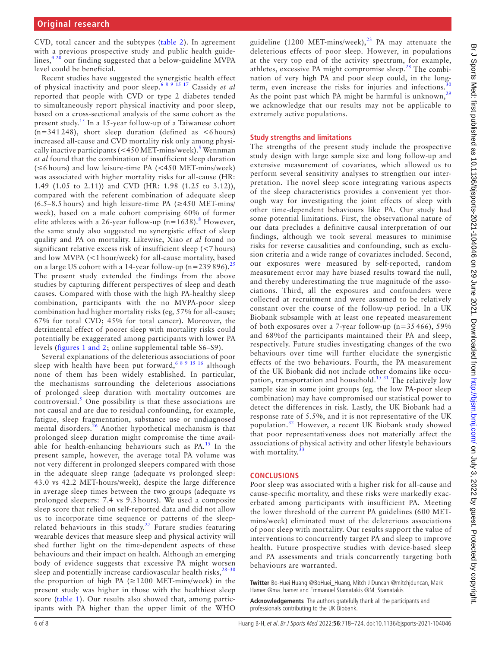CVD, total cancer and the subtypes ([table](#page-4-0) 2). In agreement with a previous prospective study and public health guidelines,[4 20](#page-6-11) our finding suggested that a below-guideline MVPA level could be beneficial.

Recent studies have suggested the synergistic health effect of physical inactivity and poor sleep.[6 8 9 15 17](#page-6-1) Cassidy *et al* reported that people with CVD or type 2 diabetes tended to simultaneously report physical inactivity and poor sleep, based on a cross-sectional analysis of the same cohort as the present study.[15](#page-6-16) In a 15-year follow-up of a Taiwanese cohort  $(n=341 248)$ , short sleep duration (defined as <6 hours) increased all-cause and CVD mortality risk only among physi-cally inactive participants (<450 MET-mins/week).<sup>[9](#page-6-17)</sup> Wennman *et al* found that the combination of insufficient sleep duration  $(\leq 6 \text{ hours})$  and low leisure-time PA  $(< 450 \text{ MET-mins/week})$ was associated with higher mortality risks for all-cause (HR: 1.49 (1.05 to 2.11)) and CVD (HR: 1.98 (1.25 to 3.12)), compared with the referent combination of adequate sleep  $(6.5-8.5$  hours) and high leisure-time PA ( $\geq 450$  MET-mins/ week), based on a male cohort comprising 60% of former elite athletes with a 26-year follow-up ( $n=1638$  $n=1638$ ).<sup>8</sup> However, the same study also suggested no synergistic effect of sleep quality and PA on mortality. Likewise, Xiao *et al* found no significant relative excess risk of insufficient sleep (<7 hours) and low MVPA (<1 hour/week) for all-cause mortality, based on a large US cohort with a 14-year follow-up (n=239 896).<sup>[25](#page-6-18)</sup> The present study extended the findings from the above studies by capturing different perspectives of sleep and death causes. Compared with those with the high PA-healthy sleep combination, participants with the no MVPA-poor sleep combination had higher mortality risks (eg*,* 57% for all-cause; 67% for total CVD; 45% for total cancer). Moreover, the detrimental effect of poorer sleep with mortality risks could potentially be exaggerated among participants with lower PA levels (figures [1 and 2;](#page-3-0) [online supplemental table S6–S9](https://dx.doi.org/10.1136/bjsports-2021-104046)).

Several explanations of the deleterious associations of poor sleep with health have been put forward,  $6891516$  although none of them has been widely established. In particular, the mechanisms surrounding the deleterious associations of prolonged sleep duration with mortality outcomes are  $control$ . One possibility is that these associations are not causal and are due to residual confounding, for example, fatigue, sleep fragmentation, substance use or undiagnosed mental disorders.<sup>26</sup> Another hypothetical mechanism is that prolonged sleep duration might compromise the time avail-able for health-enhancing behaviours such as PA.<sup>[15](#page-6-16)</sup> In the present sample, however, the average total PA volume was not very different in prolonged sleepers compared with those in the adequate sleep range (adequate vs prolonged sleep: 43.0 vs 42.2 MET-hours/week), despite the large difference in average sleep times between the two groups (adequate vs prolonged sleepers: 7.4 vs 9.3 hours). We used a composite sleep score that relied on self-reported data and did not allow us to incorporate time sequence or patterns of the sleeprelated behaviours in this study.<sup>27</sup> Future studies featuring wearable devices that measure sleep and physical activity will shed further light on the time-dependent aspects of these behaviours and their impact on health. Although an emerging body of evidence suggests that excessive PA might worsen sleep and potentially increase cardiovascular health risks, $28-30$ the proportion of high PA  $(\geq 1200 \text{ MET-mins/week})$  in the present study was higher in those with the healthiest sleep score ([table](#page-2-0) 1). Our results also showed that, among participants with PA higher than the upper limit of the WHO

guideline (1200 MET-mins/week), $^{23}$  $^{23}$  $^{23}$  PA may attenuate the deleterious effects of poor sleep. However, in populations at the very top end of the activity spectrum, for example, athletes, excessive PA might compromise sleep.<sup>[28](#page-6-21)</sup> The combination of very high PA and poor sleep could, in the longterm, even increase the risks for injuries and infections.<sup>3</sup> As the point past which PA might be harmful is unknown,<sup>[29](#page-6-23)</sup> we acknowledge that our results may not be applicable to extremely active populations.

#### **Study strengths and limitations**

The strengths of the present study include the prospective study design with large sample size and long follow-up and extensive measurement of covariates, which allowed us to perform several sensitivity analyses to strengthen our interpretation. The novel sleep score integrating various aspects of the sleep characteristics provides a convenient yet thorough way for investigating the joint effects of sleep with other time-dependent behaviours like PA. Our study had some potential limitations. First, the observational nature of our data precludes a definitive causal interpretation of our findings, although we took several measures to minimise risks for reverse causalities and confounding, such as exclusion criteria and a wide range of covariates included. Second, our exposures were measured by self-reported, random measurement error may have biased results toward the null, and thereby underestimating the true magnitude of the associations. Third, all the exposures and confounders were collected at recruitment and were assumed to be relatively constant over the course of the follow-up period. In a UK Biobank subsample with at least one repeated measurement of both exposures over a 7-year follow-up (n=35 466), 59% and 68%of the participants maintained their PA and sleep, respectively. Future studies investigating changes of the two behaviours over time will further elucidate the synergistic effects of the two behaviours. Fourth, the PA measurement of the UK Biobank did not include other domains like occupation, transportation and household.<sup>15 31</sup> The relatively low sample size in some joint groups (eg*,* the low PA-poor sleep combination) may have compromised our statistical power to detect the differences in risk. Lastly, the UK Biobank had a response rate of 5.5%, and it is not representative of the UK population.[32](#page-7-0) However, a recent UK Biobank study showed that poor representativeness does not materially affect the associations of physical activity and other lifestyle behaviours with mortality. $33$ 

### **CONCLUSIONS**

Poor sleep was associated with a higher risk for all-cause and cause-specific mortality, and these risks were markedly exacerbated among participants with insufficient PA. Meeting the lower threshold of the current PA guidelines (600 METmins/week) eliminated most of the deleterious associations of poor sleep with mortality. Our results support the value of interventions to concurrently target PA and sleep to improve health. Future prospective studies with device-based sleep and PA assessments and trials concurrently targeting both behaviours are warranted.

**Twitter** Bo-Huei Huang [@BoHuei\\_Huang](https://twitter.com/BoHuei_Huang), Mitch J Duncan [@mitchjduncan,](https://twitter.com/mitchjduncan) Mark Hamer [@ma\\_hamer](https://twitter.com/ma_hamer) and Emmanuel Stamatakis [@M\\_Stamatakis](https://twitter.com/M_Stamatakis)

**Acknowledgements** The authors gratefully thank all the participants and professionals contributing to the UK Biobank.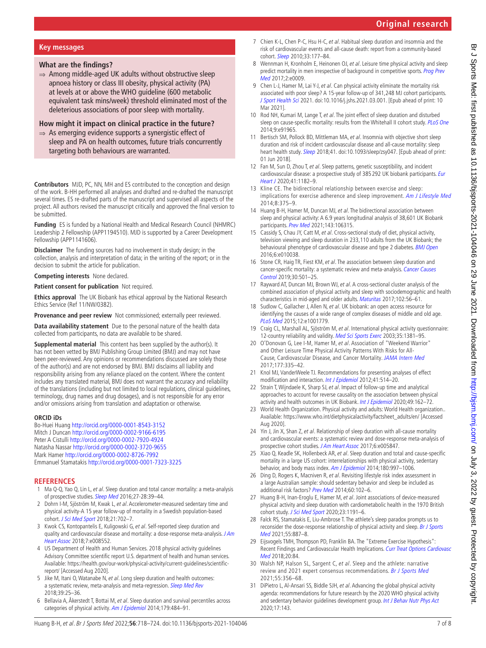# **Original research**

### **Key messages**

# **What are the findings?**

⇒ Among middle-aged UK adults without obstructive sleep apnoea history or class III obesity, physical activity (PA) at levels at or above the WHO guideline (600 metabolic equivalent task mins/week) threshold eliminated most of the deleterious associations of poor sleep with mortality.

## **How might it impact on clinical practice in the future?**

 $\Rightarrow$  As emerging evidence supports a synergistic effect of sleep and PA on health outcomes, future trials concurrently targeting both behaviours are warranted.

**Contributors** MJD, PC, NN, MH and ES contributed to the conception and design of the work. B-HH performed all analyses and drafted and re-drafted the manuscript several times. ES re-drafted parts of the manuscript and supervised all aspects of the project. All authors revised the manuscript critically and approved the final version to be submitted.

**Funding** ES is funded by a National Health and Medical Research Council (NHMRC) Leadership 2 Fellowship (APP1194510). MJD is supported by a Career Development Fellowship (APP1141606).

**Disclaimer** The funding sources had no involvement in study design; in the collection, analysis and interpretation of data; in the writing of the report; or in the decision to submit the article for publication.

**Competing interests** None declared.

**Patient consent for publication** Not required.

**Ethics approval** The UK Biobank has ethical approval by the National Research Ethics Service (Ref 11/NW/0382).

**Provenance and peer review** Not commissioned; externally peer reviewed.

**Data availability statement** Due to the personal nature of the health data collected from participants, no data are available to be shared.

**Supplemental material** This content has been supplied by the author(s). It has not been vetted by BMJ Publishing Group Limited (BMJ) and may not have been peer-reviewed. Any opinions or recommendations discussed are solely those of the author(s) and are not endorsed by BMJ. BMJ disclaims all liability and responsibility arising from any reliance placed on the content. Where the content includes any translated material, BMJ does not warrant the accuracy and reliability of the translations (including but not limited to local regulations, clinical guidelines, terminology, drug names and drug dosages), and is not responsible for any error and/or omissions arising from translation and adaptation or otherwise.

#### **ORCID iDs**

Bo-Huei Huang<http://orcid.org/0000-0001-8543-3152> Mitch J Duncan <http://orcid.org/0000-0002-9166-6195> Peter A Cistulli<http://orcid.org/0000-0002-7920-4924> Natasha Nassar <http://orcid.org/0000-0002-3720-9655> Mark Hamer<http://orcid.org/0000-0002-8726-7992> Emmanuel Stamatakis<http://orcid.org/0000-0001-7323-3225>

# **REFERENCES**

- <span id="page-6-0"></span>1 Ma Q-Q, Yao Q, Lin L, et al. Sleep duration and total cancer mortality: a meta-analysis of prospective studies. [Sleep Med](http://dx.doi.org/10.1016/j.sleep.2016.06.036) 2016;27-28:39-44.
- 2 Dohrn I-M, Sjöström M, Kwak L, et al. Accelerometer-measured sedentary time and physical activity-A 15 year follow-up of mortality in a Swedish population-based cohort. [J Sci Med Sport](http://dx.doi.org/10.1016/j.jsams.2017.10.035) 2018;21:702-7.
- <span id="page-6-4"></span>3 Kwok CS, Kontopantelis E, Kuligowski G, et al. Self-reported sleep duration and quality and cardiovascular disease and mortality: a dose-response meta-analysis. J Am [Heart Assoc](http://dx.doi.org/10.1161/JAHA.118.008552) 2018;7:e008552.
- <span id="page-6-11"></span>4 US Department of Health and Human Services. 2018 physical activity guidelines Advisory Committee scientific report U.S. department of health and human services. Available: [https://health.gov/our-work/physical-activity/current-guidelines/scientific](https://health.gov/our-work/physical-activity/current-guidelines/scientific-report/)[report/](https://health.gov/our-work/physical-activity/current-guidelines/scientific-report/) [Accessed Aug 2020].
- <span id="page-6-9"></span>5 Jike M, Itani O, Watanabe N, et al. Long sleep duration and health outcomes: a systematic review, meta-analysis and meta-regression. [Sleep Med Rev](http://dx.doi.org/10.1016/j.smrv.2017.06.011) 2018;39:25–36.
- <span id="page-6-1"></span>6 Bellavia A, Åkerstedt T, Bottai M, et al. Sleep duration and survival percentiles across categories of physical activity. [Am J Epidemiol](http://dx.doi.org/10.1093/aje/kwt280) 2014;179:484-91.
- <span id="page-6-2"></span>7 Chien K-L, Chen P-C, Hsu H-C, et al. Habitual sleep duration and insomnia and the risk of cardiovascular events and all-cause death: report from a community-based cohort. [Sleep](http://dx.doi.org/10.1093/sleep/33.2.177) 2010;33:177–84.
- <span id="page-6-3"></span>8 Wennman H, Kronholm E, Heinonen OJ, et al. Leisure time physical activity and sleep predict mortality in men irrespective of background in competitive sports. Prog Prev [Med](http://dx.doi.org/10.1097/pp9.0000000000000009) 2017;2:e0009.
- <span id="page-6-17"></span>9 Chen L-J, Hamer M, Lai Y-J, et al. Can physical activity eliminate the mortality risk associated with poor sleep? A 15-year follow-up of 341,248 MJ cohort participants. [J Sport Health Sci](http://dx.doi.org/10.1016/j.jshs.2021.03.001) 2021. doi:10.1016/j.jshs.2021.03.001. [Epub ahead of print: 10 Mar 2021].
- 10 Rod NH, Kumari M, Lange T, et al. The joint effect of sleep duration and disturbed sleep on cause-specific mortality: results from the Whitehall II cohort study. [PLoS One](http://dx.doi.org/10.1371/journal.pone.0091965) 2014;9:e91965.
- <span id="page-6-5"></span>11 Bertisch SM, Pollock BD, Mittleman MA, et al. Insomnia with objective short sleep duration and risk of incident cardiovascular disease and all-cause mortality: sleep heart health study. [Sleep](http://dx.doi.org/10.1093/sleep/zsy047) 2018;41. doi:10.1093/sleep/zsy047. [Epub ahead of print: 01 Jun 2018].
- <span id="page-6-6"></span>12 Fan M, Sun D, Zhou T, et al. Sleep patterns, genetic susceptibility, and incident cardiovascular disease: a prospective study of 385 292 UK biobank participants. Eur [Heart J](http://dx.doi.org/10.1093/eurheartj/ehz849) 2020;41:1182–9.
- 13 Kline CE. The bidirectional relationship between exercise and sleep: implications for exercise adherence and sleep improvement. [Am J Lifestyle Med](http://dx.doi.org/10.1177/1559827614544437) 2014;8:375–9.
- 14 Huang B-H, Hamer M, Duncan MJ, et al. The bidirectional association between sleep and physical activity: A 6.9 years longitudinal analysis of 38,601 UK Biobank participants. [Prev Med](http://dx.doi.org/10.1016/j.ypmed.2020.106315) 2021;143:106315.
- <span id="page-6-16"></span>15 Cassidy S, Chau JY, Catt M, et al. Cross-sectional study of diet, physical activity, television viewing and sleep duration in 233,110 adults from the UK Biobank; the behavioural phenotype of cardiovascular disease and type 2 diabetes. **[BMJ Open](http://dx.doi.org/10.1136/bmjopen-2015-010038)** 2016;6:e010038.
- 16 Stone CR, Haig TR, Fiest KM, et al. The association between sleep duration and cancer-specific mortality: a systematic review and meta-analysis. [Cancer Causes](http://dx.doi.org/10.1007/s10552-019-01156-4)  [Control](http://dx.doi.org/10.1007/s10552-019-01156-4) 2019;30:501–25.
- <span id="page-6-7"></span>17 Rayward AT, Duncan MJ, Brown WJ, et al. A cross-sectional cluster analysis of the combined association of physical activity and sleep with sociodemographic and health characteristics in mid-aged and older adults. [Maturitas](http://dx.doi.org/10.1016/j.maturitas.2017.05.013) 2017;102:56–61.
- <span id="page-6-8"></span>18 Sudlow C, Gallacher J, Allen N, et al. UK biobank: an open access resource for identifying the causes of a wide range of complex diseases of middle and old age. [PLoS Med](http://dx.doi.org/10.1371/journal.pmed.1001779) 2015;12:e1001779.
- <span id="page-6-10"></span>19 Craig CL, Marshall AL, Sjöström M, et al. International physical activity questionnaire: 12-country reliability and validity. [Med Sci Sports Exerc](http://dx.doi.org/10.1249/01.MSS.0000078924.61453.FB) 2003;35:1381-95.
- 20 O'Donovan G, Lee I-M, Hamer M, et al. Association of "Weekend Warrior" and Other Leisure Time Physical Activity Patterns With Risks for All-Cause, Cardiovascular Disease, and Cancer Mortality. [JAMA Intern Med](http://dx.doi.org/10.1001/jamainternmed.2016.8014) 2017;177:335–42.
- <span id="page-6-12"></span>21 Knol MJ, VanderWeele TJ. Recommendations for presenting analyses of effect modification and interaction. [Int J Epidemiol](http://dx.doi.org/10.1093/ije/dyr218) 2012;41:514-20.
- <span id="page-6-13"></span>22 Strain T, Wijndaele K, Sharp SJ, et al. Impact of follow-up time and analytical approaches to account for reverse causality on the association between physical activity and health outcomes in UK Biobank. *[Int J Epidemiol](http://dx.doi.org/10.1093/ije/dyz212)* 2020;49:162-72.
- <span id="page-6-14"></span>23 World Health Organization. Physical activity and adults: World Health organization.. Available: [https://www.who.int/dietphysicalactivity/factsheet\\_adults/en/](https://www.who.int/dietphysicalactivity/factsheet_adults/en/) [Accessed Aug 2020].
- <span id="page-6-15"></span>24 Yin J, Jin X, Shan Z, et al. Relationship of sleep duration with all-cause mortality and cardiovascular events: a systematic review and dose-response meta-analysis of prospective cohort studies. [J Am Heart Assoc](http://dx.doi.org/10.1161/JAHA.117.005947) 2017;6:e005847.
- <span id="page-6-18"></span>25 Xiao Q, Keadle SK, Hollenbeck AR, et al. Sleep duration and total and cause-specific mortality in a large US cohort: interrelationships with physical activity, sedentary behavior, and body mass index. [Am J Epidemiol](http://dx.doi.org/10.1093/aje/kwu222) 2014;180:997-1006.
- <span id="page-6-19"></span>26 Ding D, Rogers K, Macniven R, et al. Revisiting lifestyle risk index assessment in a large Australian sample: should sedentary behavior and sleep be included as additional risk factors? [Prev Med](http://dx.doi.org/10.1016/j.ypmed.2013.12.021) 2014;60:102–6.
- <span id="page-6-20"></span>27 Huang B-H, Inan-Eroglu E, Hamer M, et al. Joint associations of device-measured physical activity and sleep duration with cardiometabolic health in the 1970 British cohort study. [J Sci Med Sport](http://dx.doi.org/10.1016/j.jsams.2020.07.012) 2020;23:1191-6.
- <span id="page-6-21"></span>28 Falck RS, Stamatakis E, Liu-Ambrose T. The athlete's sleep paradox prompts us to reconsider the dose-response relationship of physical activity and sleep. Br J Sports [Med](http://dx.doi.org/10.1136/bjsports-2020-103835) 2021;55:887–8.
- <span id="page-6-23"></span>29 Eijsvogels TMH, Thompson PD, Franklin BA. The "Extreme Exercise Hypothesis": Recent Findings and Cardiovascular Health Implications. [Curr Treat Options Cardiovasc](http://dx.doi.org/10.1007/s11936-018-0674-3) [Med](http://dx.doi.org/10.1007/s11936-018-0674-3) 2018:20:84
- <span id="page-6-22"></span>30 Walsh NP, Halson SL, Sargent C, et al. Sleep and the athlete: narrative review and 2021 expert consensus recommendations. [Br J Sports Med](http://dx.doi.org/10.1136/bjsports-2020-102025) 2021;55:356–68.
- 31 DiPietro L, Al-Ansari SS, Biddle SJH, et al. Advancing the global physical activity agenda: recommendations for future research by the 2020 WHO physical activity and sedentary behavior quidelines development group. [Int J Behav Nutr Phys Act](http://dx.doi.org/10.1186/s12966-020-01042-2) 2020;17:143.